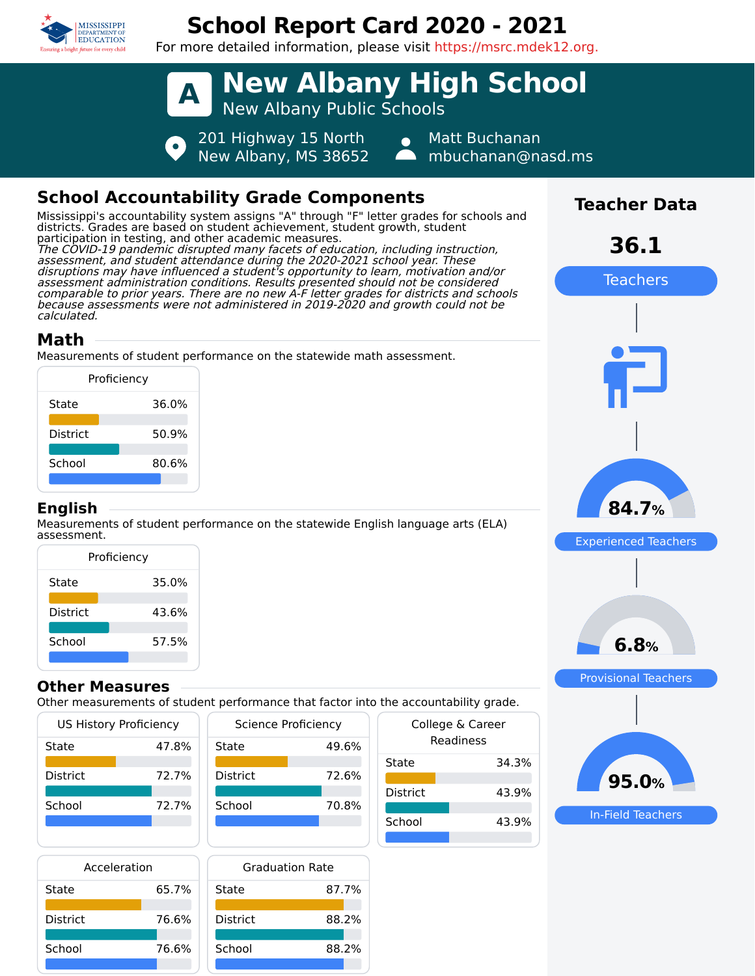

# **School Report Card 2020 - 2021**

For more detailed information, please visit https://msrc.mdek12.org.



## **School Accountability Grade Components**

Mississippi's accountability system assigns "A" through "F" letter grades for schools and districts. Grades are based on student achievement, student growth, student participation in testing, and other academic measures. The COVID-19 pandemic disrupted many facets of education, including instruction, assessment, and student attendance during the 2020-2021 school year. These disruptions may have influenced a student's opportunity to learn, motivation and/or assessment administration conditions. Results presented should not be considered comparable to prior years. There are no new A-F letter grades for districts and schools because assessments were not administered in 2019-2020 and growth could not be calculated.

### **Math**

Measurements of student performance on the statewide math assessment.

| Proficiency     |       |
|-----------------|-------|
| State           | 36.0% |
| <b>District</b> | 50.9% |
| School          | 80.6% |
|                 |       |

#### **English**

Measurements of student performance on the statewide English language arts (ELA) assessment.

| Proficiency     |       |  |
|-----------------|-------|--|
| State           | 35.0% |  |
| <b>District</b> | 43.6% |  |
| School          | 57.5% |  |
|                 |       |  |

#### **Other Measures**

Other measurements of student performance that factor into the accountabilit

|          | US History Proficiency |
|----------|------------------------|
| State    | 47.8%                  |
| District | 72.7%                  |
| School   | 72 7%                  |
|          |                        |

| <b>Science Proficiency</b> |       |  |
|----------------------------|-------|--|
| State                      | 49.6% |  |
| <b>District</b>            | 72.6% |  |
| School                     | 70.8% |  |
|                            |       |  |

| Acceleration    |       |    |
|-----------------|-------|----|
| State           | 65.7% | St |
| <b>District</b> | 76.6% |    |
| School          | 76.6% |    |
|                 |       |    |

| Graduation Rate |       |
|-----------------|-------|
| State           | 87.7% |
| <b>District</b> | 88.2% |
| School          | 88.2% |

| the accountability grade.     |       |  |
|-------------------------------|-------|--|
| College & Career<br>Readiness |       |  |
| State                         | 34.3% |  |
| District                      | 43.9% |  |
| School                        | 43.9% |  |



**Teacher Data**

**36.1**

Teachers